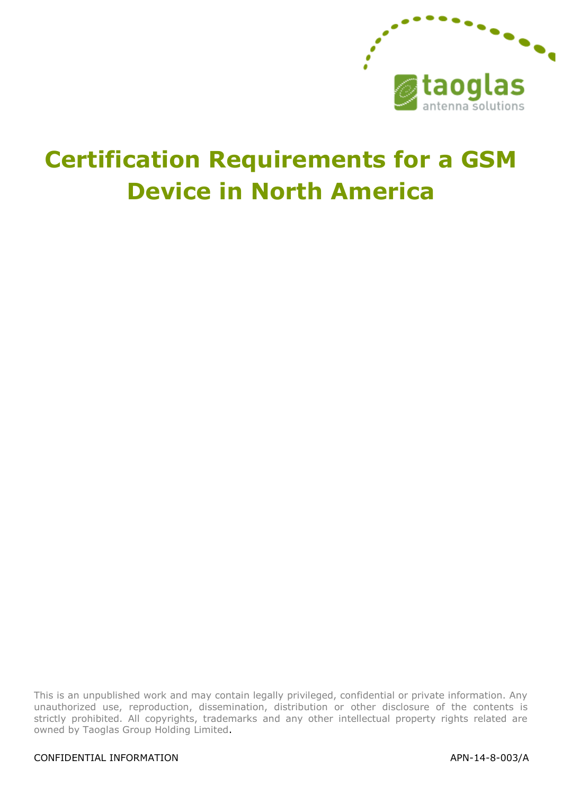

# **Certification Requirements for a GSM Device in North America**

This is an unpublished work and may contain legally privileged, confidential or private information. Any unauthorized use, reproduction, dissemination, distribution or other disclosure of the contents is strictly prohibited. All copyrights, trademarks and any other intellectual property rights related are owned by Taoglas Group Holding Limited.

#### CONFIDENTIAL INFORMATION APN-14-8-003/A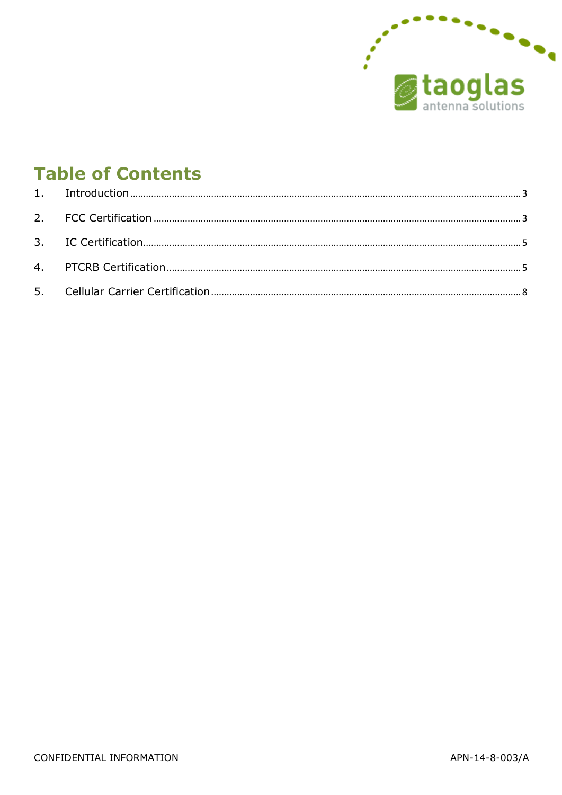

# **Table of Contents**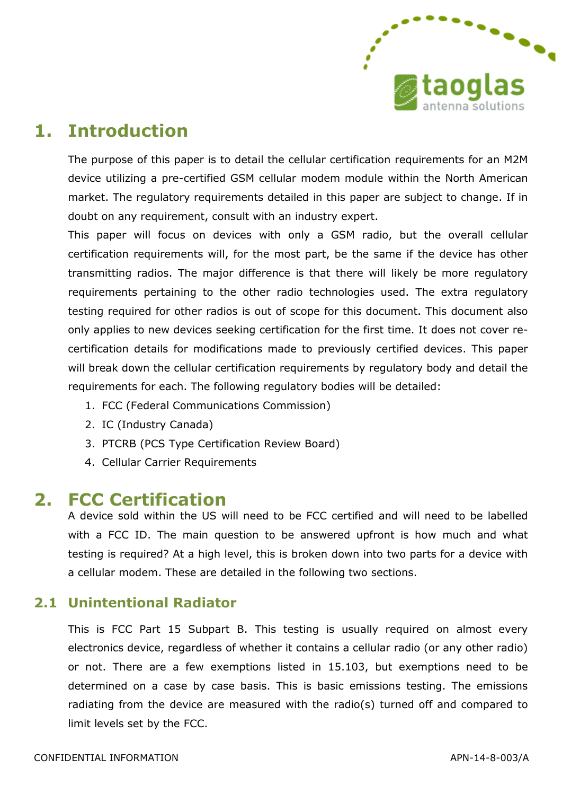

# <span id="page-2-0"></span>**1. Introduction**

The purpose of this paper is to detail the cellular certification requirements for an M2M device utilizing a pre-certified GSM cellular modem module within the North American market. The regulatory requirements detailed in this paper are subject to change. If in doubt on any requirement, consult with an industry expert.

This paper will focus on devices with only a GSM radio, but the overall cellular certification requirements will, for the most part, be the same if the device has other transmitting radios. The major difference is that there will likely be more regulatory requirements pertaining to the other radio technologies used. The extra regulatory testing required for other radios is out of scope for this document. This document also only applies to new devices seeking certification for the first time. It does not cover recertification details for modifications made to previously certified devices. This paper will break down the cellular certification requirements by regulatory body and detail the requirements for each. The following regulatory bodies will be detailed:

- 1. FCC (Federal Communications Commission)
- 2. IC (Industry Canada)
- 3. PTCRB (PCS Type Certification Review Board)
- 4. Cellular Carrier Requirements

### <span id="page-2-1"></span>**2. FCC Certification**

A device sold within the US will need to be FCC certified and will need to be labelled with a FCC ID. The main question to be answered upfront is how much and what testing is required? At a high level, this is broken down into two parts for a device with a cellular modem. These are detailed in the following two sections.

#### **2.1 Unintentional Radiator**

This is FCC Part 15 Subpart B. This testing is usually required on almost every electronics device, regardless of whether it contains a cellular radio (or any other radio) or not. There are a few exemptions listed in 15.103, but exemptions need to be determined on a case by case basis. This is basic emissions testing. The emissions radiating from the device are measured with the radio(s) turned off and compared to limit levels set by the FCC.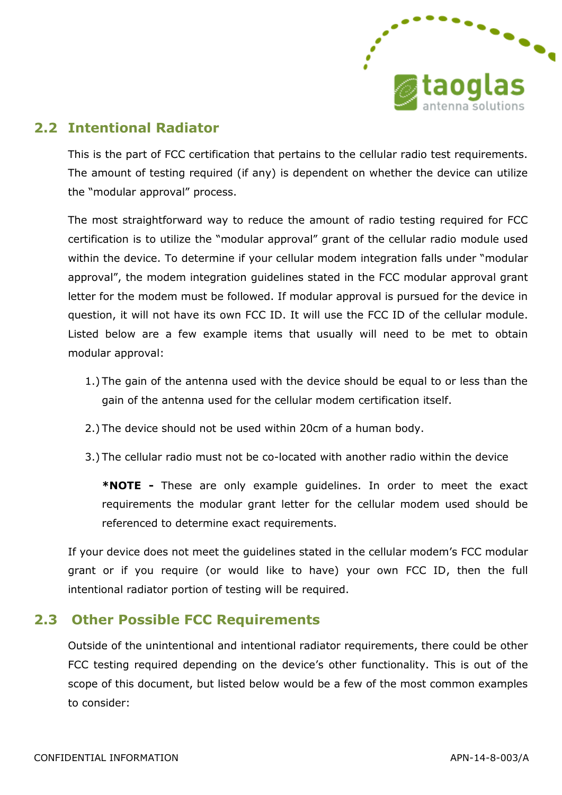

#### **2.2 Intentional Radiator**

This is the part of FCC certification that pertains to the cellular radio test requirements. The amount of testing required (if any) is dependent on whether the device can utilize the "modular approval" process.

The most straightforward way to reduce the amount of radio testing required for FCC certification is to utilize the "modular approval" grant of the cellular radio module used within the device. To determine if your cellular modem integration falls under "modular approval", the modem integration guidelines stated in the FCC modular approval grant letter for the modem must be followed. If modular approval is pursued for the device in question, it will not have its own FCC ID. It will use the FCC ID of the cellular module. Listed below are a few example items that usually will need to be met to obtain modular approval:

- 1.) The gain of the antenna used with the device should be equal to or less than the gain of the antenna used for the cellular modem certification itself.
- 2.) The device should not be used within 20cm of a human body.
- 3.) The cellular radio must not be co-located with another radio within the device

**\*NOTE -** These are only example guidelines. In order to meet the exact requirements the modular grant letter for the cellular modem used should be referenced to determine exact requirements.

If your device does not meet the guidelines stated in the cellular modem's FCC modular grant or if you require (or would like to have) your own FCC ID, then the full intentional radiator portion of testing will be required.

#### **2.3 Other Possible FCC Requirements**

Outside of the unintentional and intentional radiator requirements, there could be other FCC testing required depending on the device's other functionality. This is out of the scope of this document, but listed below would be a few of the most common examples to consider: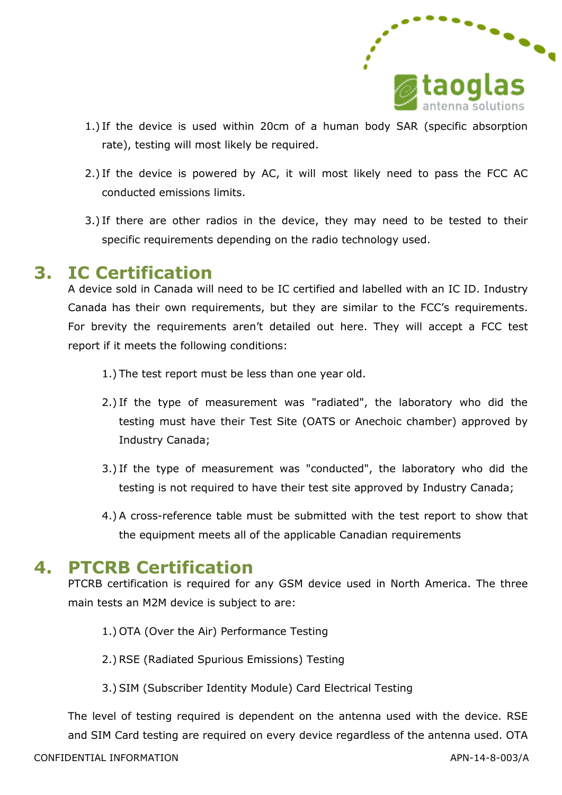

- 1.) If the device is used within 20cm of a human body SAR (specific absorption rate), testing will most likely be required.
- 2.) If the device is powered by AC, it will most likely need to pass the FCC AC conducted emissions limits.
- 3.) If there are other radios in the device, they may need to be tested to their specific requirements depending on the radio technology used.

### <span id="page-4-0"></span>**3. IC Certification**

A device sold in Canada will need to be IC certified and labelled with an IC ID. Industry Canada has their own requirements, but they are similar to the FCC's requirements. For brevity the requirements aren't detailed out here. They will accept a FCC test report if it meets the following conditions:

- 1.) The test report must be less than one year old.
- 2.) If the type of measurement was "radiated", the laboratory who did the testing must have their Test Site (OATS or Anechoic chamber) approved by Industry Canada;
- 3.) If the type of measurement was "conducted", the laboratory who did the testing is not required to have their test site approved by Industry Canada;
- 4.) A cross-reference table must be submitted with the test report to show that the equipment meets all of the applicable Canadian requirements

## <span id="page-4-1"></span>**4. PTCRB Certification**

PTCRB certification is required for any GSM device used in North America. The three main tests an M2M device is subject to are:

- 1.) OTA (Over the Air) Performance Testing
- 2.) RSE (Radiated Spurious Emissions) Testing
- 3.) SIM (Subscriber Identity Module) Card Electrical Testing

The level of testing required is dependent on the antenna used with the device. RSE and SIM Card testing are required on every device regardless of the antenna used. OTA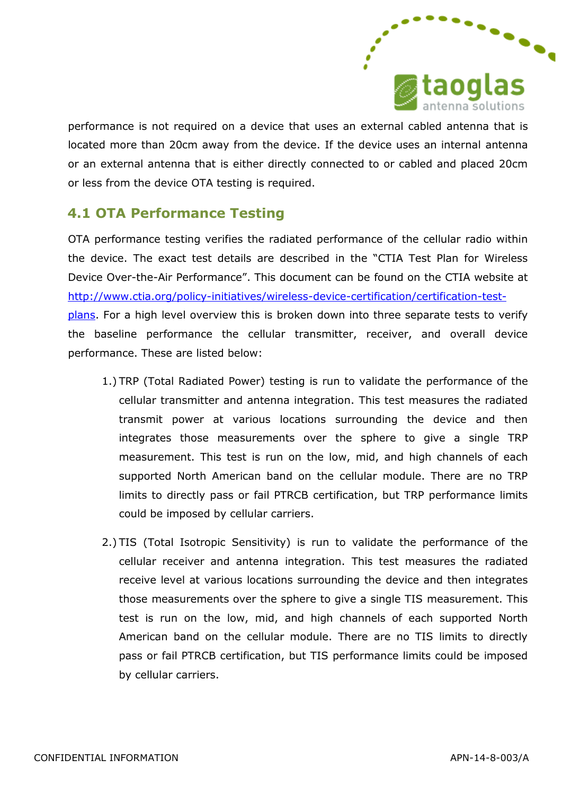

performance is not required on a device that uses an external cabled antenna that is located more than 20cm away from the device. If the device uses an internal antenna or an external antenna that is either directly connected to or cabled and placed 20cm or less from the device OTA testing is required.

### **4.1 OTA Performance Testing**

OTA performance testing verifies the radiated performance of the cellular radio within the device. The exact test details are described in the "CTIA Test Plan for Wireless Device Over-the-Air Performance". This document can be found on the CTIA website at [http://www.ctia.org/policy-initiatives/wireless-device-certification/certification-test](http://www.ctia.org/policy-initiatives/wireless-device-certification/certification-test-plans)[plans.](http://www.ctia.org/policy-initiatives/wireless-device-certification/certification-test-plans) For a high level overview this is broken down into three separate tests to verify the baseline performance the cellular transmitter, receiver, and overall device performance. These are listed below:

- 1.) TRP (Total Radiated Power) testing is run to validate the performance of the cellular transmitter and antenna integration. This test measures the radiated transmit power at various locations surrounding the device and then integrates those measurements over the sphere to give a single TRP measurement. This test is run on the low, mid, and high channels of each supported North American band on the cellular module. There are no TRP limits to directly pass or fail PTRCB certification, but TRP performance limits could be imposed by cellular carriers.
- 2.) TIS (Total Isotropic Sensitivity) is run to validate the performance of the cellular receiver and antenna integration. This test measures the radiated receive level at various locations surrounding the device and then integrates those measurements over the sphere to give a single TIS measurement. This test is run on the low, mid, and high channels of each supported North American band on the cellular module. There are no TIS limits to directly pass or fail PTRCB certification, but TIS performance limits could be imposed by cellular carriers.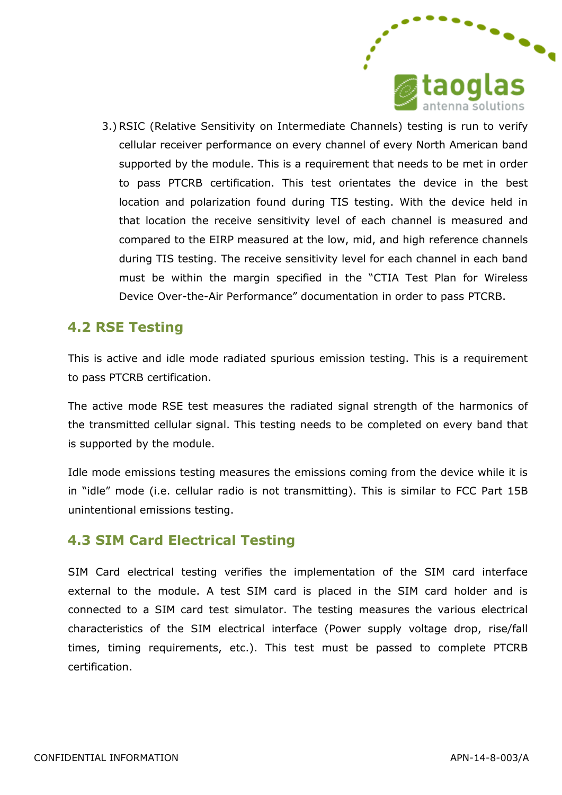

3.) RSIC (Relative Sensitivity on Intermediate Channels) testing is run to verify cellular receiver performance on every channel of every North American band supported by the module. This is a requirement that needs to be met in order to pass PTCRB certification. This test orientates the device in the best location and polarization found during TIS testing. With the device held in that location the receive sensitivity level of each channel is measured and compared to the EIRP measured at the low, mid, and high reference channels during TIS testing. The receive sensitivity level for each channel in each band must be within the margin specified in the "CTIA Test Plan for Wireless Device Over-the-Air Performance" documentation in order to pass PTCRB.

#### **4.2 RSE Testing**

This is active and idle mode radiated spurious emission testing. This is a requirement to pass PTCRB certification.

The active mode RSE test measures the radiated signal strength of the harmonics of the transmitted cellular signal. This testing needs to be completed on every band that is supported by the module.

Idle mode emissions testing measures the emissions coming from the device while it is in "idle" mode (i.e. cellular radio is not transmitting). This is similar to FCC Part 15B unintentional emissions testing.

#### **4.3 SIM Card Electrical Testing**

SIM Card electrical testing verifies the implementation of the SIM card interface external to the module. A test SIM card is placed in the SIM card holder and is connected to a SIM card test simulator. The testing measures the various electrical characteristics of the SIM electrical interface (Power supply voltage drop, rise/fall times, timing requirements, etc.). This test must be passed to complete PTCRB certification.